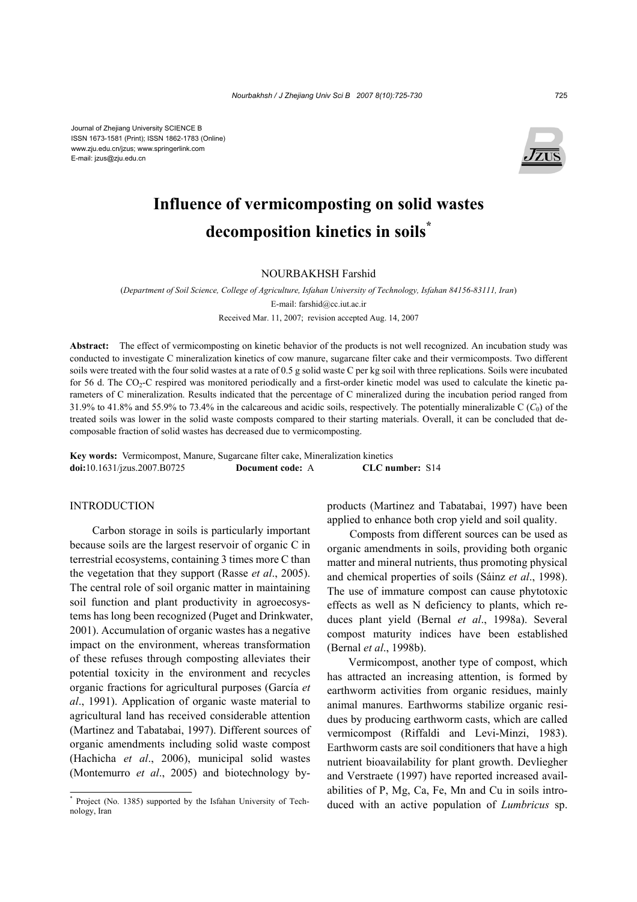Journal of Zhejiang University SCIENCE B ISSN 1673-1581 (Print); ISSN 1862-1783 (Online) www.zju.edu.cn/jzus; www.springerlink.com E-mail: jzus@zju.edu.cn



# **Influence of vermicomposting on solid wastes decomposition kinetics in soils\***

# NOURBAKHSH Farshid

(*Department of Soil Science, College of Agriculture, Isfahan University of Technology, Isfahan 84156-83111, Iran*) E-mail: farshid@cc.iut.ac.ir Received Mar. 11, 2007; revision accepted Aug. 14, 2007

**Abstract:** The effect of vermicomposting on kinetic behavior of the products is not well recognized. An incubation study was conducted to investigate C mineralization kinetics of cow manure, sugarcane filter cake and their vermicomposts. Two different soils were treated with the four solid wastes at a rate of 0.5 g solid waste C per kg soil with three replications. Soils were incubated for 56 d. The CO<sub>2</sub>-C respired was monitored periodically and a first-order kinetic model was used to calculate the kinetic parameters of C mineralization. Results indicated that the percentage of C mineralized during the incubation period ranged from 31.9% to 41.8% and 55.9% to 73.4% in the calcareous and acidic soils, respectively. The potentially mineralizable C (*C*0) of the treated soils was lower in the solid waste composts compared to their starting materials. Overall, it can be concluded that decomposable fraction of solid wastes has decreased due to vermicomposting.

**Key words:** Vermicompost, Manure, Sugarcane filter cake, Mineralization kinetics **doi:**10.1631/jzus.2007.B0725 **Document code:** A **CLC number:** S14

### **INTRODUCTION**

Carbon storage in soils is particularly important because soils are the largest reservoir of organic C in terrestrial ecosystems, containing 3 times more C than the vegetation that they support (Rasse *et al*., 2005). The central role of soil organic matter in maintaining soil function and plant productivity in agroecosystems has long been recognized (Puget and Drinkwater, 2001). Accumulation of organic wastes has a negative impact on the environment, whereas transformation of these refuses through composting alleviates their potential toxicity in the environment and recycles organic fractions for agricultural purposes (García *et al*., 1991). Application of organic waste material to agricultural land has received considerable attention (Martinez and Tabatabai, 1997). Different sources of organic amendments including solid waste compost (Hachicha *et al*., 2006), municipal solid wastes (Montemurro *et al*., 2005) and biotechnology byproducts (Martinez and Tabatabai, 1997) have been applied to enhance both crop yield and soil quality.

Composts from different sources can be used as organic amendments in soils, providing both organic matter and mineral nutrients, thus promoting physical and chemical properties of soils (Sáinz *et al*., 1998). The use of immature compost can cause phytotoxic effects as well as N deficiency to plants, which reduces plant yield (Bernal *et al*., 1998a). Several compost maturity indices have been established (Bernal *et al*., 1998b).

Vermicompost, another type of compost, which has attracted an increasing attention, is formed by earthworm activities from organic residues, mainly animal manures. Earthworms stabilize organic residues by producing earthworm casts, which are called vermicompost (Riffaldi and Levi-Minzi, 1983). Earthworm casts are soil conditioners that have a high nutrient bioavailability for plant growth. Devliegher and Verstraete (1997) have reported increased availabilities of P, Mg, Ca, Fe, Mn and Cu in soils introduced with an active population of *Lumbricus* sp.

<sup>\*</sup> Project (No. 1385) supported by the Isfahan University of Technology, Iran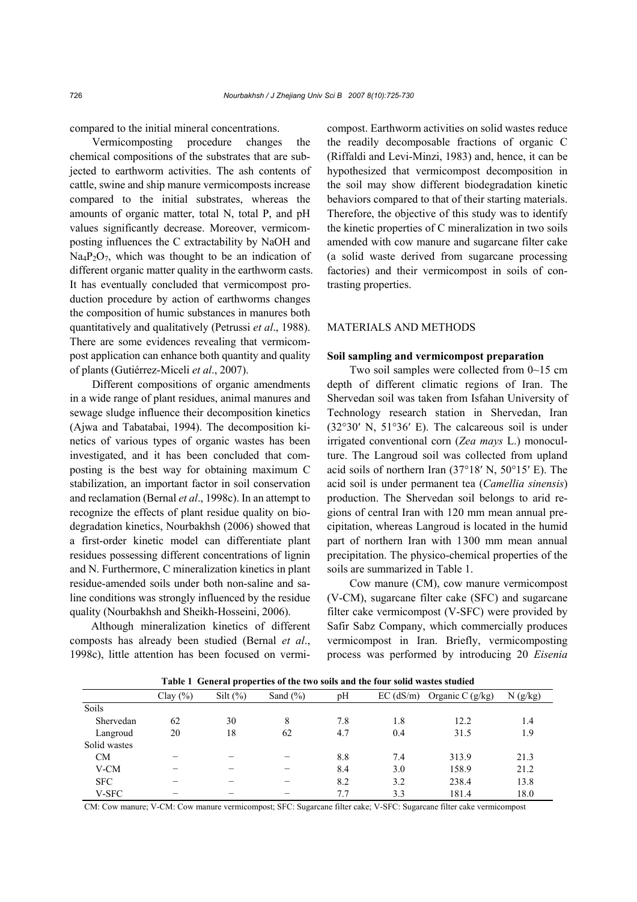compared to the initial mineral concentrations.

Vermicomposting procedure changes the chemical compositions of the substrates that are subjected to earthworm activities. The ash contents of cattle, swine and ship manure vermicomposts increase compared to the initial substrates, whereas the amounts of organic matter, total N, total P, and pH values significantly decrease. Moreover, vermicomposting influences the C extractability by NaOH and  $Na_4P_2O_7$ , which was thought to be an indication of different organic matter quality in the earthworm casts. It has eventually concluded that vermicompost production procedure by action of earthworms changes the composition of humic substances in manures both quantitatively and qualitatively (Petrussi *et al*., 1988). There are some evidences revealing that vermicompost application can enhance both quantity and quality of plants (Gutiérrez-Miceli *et al*., 2007).

Different compositions of organic amendments in a wide range of plant residues, animal manures and sewage sludge influence their decomposition kinetics (Ajwa and Tabatabai, 1994). The decomposition kinetics of various types of organic wastes has been investigated, and it has been concluded that composting is the best way for obtaining maximum C stabilization, an important factor in soil conservation and reclamation (Bernal *et al*., 1998c). In an attempt to recognize the effects of plant residue quality on biodegradation kinetics, Nourbakhsh (2006) showed that a first-order kinetic model can differentiate plant residues possessing different concentrations of lignin and N. Furthermore, C mineralization kinetics in plant residue-amended soils under both non-saline and saline conditions was strongly influenced by the residue quality (Nourbakhsh and Sheikh-Hosseini, 2006).

Although mineralization kinetics of different composts has already been studied (Bernal *et al*., 1998c), little attention has been focused on vermicompost. Earthworm activities on solid wastes reduce the readily decomposable fractions of organic C (Riffaldi and Levi-Minzi, 1983) and, hence, it can be hypothesized that vermicompost decomposition in the soil may show different biodegradation kinetic behaviors compared to that of their starting materials. Therefore, the objective of this study was to identify the kinetic properties of C mineralization in two soils amended with cow manure and sugarcane filter cake (a solid waste derived from sugarcane processing factories) and their vermicompost in soils of contrasting properties.

# MATERIALS AND METHODS

#### **Soil sampling and vermicompost preparation**

Two soil samples were collected from 0~15 cm depth of different climatic regions of Iran. The Shervedan soil was taken from Isfahan University of Technology research station in Shervedan, Iran (32°30′ N, 51°36′ E). The calcareous soil is under irrigated conventional corn (*Zea mays* L.) monoculture. The Langroud soil was collected from upland acid soils of northern Iran (37°18′ N, 50°15′ E). The acid soil is under permanent tea (*Camellia sinensis*) production. The Shervedan soil belongs to arid regions of central Iran with 120 mm mean annual precipitation, whereas Langroud is located in the humid part of northern Iran with 1300 mm mean annual precipitation. The physico-chemical properties of the soils are summarized in Table 1.

Cow manure (CM), cow manure vermicompost (V-CM), sugarcane filter cake (SFC) and sugarcane filter cake vermicompost (V-SFC) were provided by Safir Sabz Company, which commercially produces vermicompost in Iran. Briefly, vermicomposting process was performed by introducing 20 *Eisenia* 

| Table I General properties of the two sons and the four sond wastes studied |              |             |              |     |             |                    |         |  |  |
|-----------------------------------------------------------------------------|--------------|-------------|--------------|-----|-------------|--------------------|---------|--|--|
|                                                                             | Clay $(\% )$ | Silt $(\%)$ | Sand $(\% )$ | pH  | $EC$ (dS/m) | Organic C $(g/kg)$ | N(g/kg) |  |  |
| Soils                                                                       |              |             |              |     |             |                    |         |  |  |
| Shervedan                                                                   | 62           | 30          | 8            | 7.8 | 1.8         | 12.2               | 1.4     |  |  |
| Langroud                                                                    | 20           | 18          | 62           | 4.7 | 0.4         | 31.5               | 1.9     |  |  |
| Solid wastes                                                                |              |             |              |     |             |                    |         |  |  |
| <b>CM</b>                                                                   |              |             |              | 8.8 | 7.4         | 313.9              | 21.3    |  |  |
| V-CM                                                                        |              |             |              | 8.4 | 3.0         | 158.9              | 21.2    |  |  |
| <b>SFC</b>                                                                  |              |             |              | 8.2 | 3.2         | 238.4              | 13.8    |  |  |
| V-SFC                                                                       |              |             |              | 7.7 | 3.3         | 181.4              | 18.0    |  |  |

**Table 1 General properties of the two soils and the four solid wastes studied**

CM: Cow manure; V-CM: Cow manure vermicompost; SFC: Sugarcane filter cake; V-SFC: Sugarcane filter cake vermicompost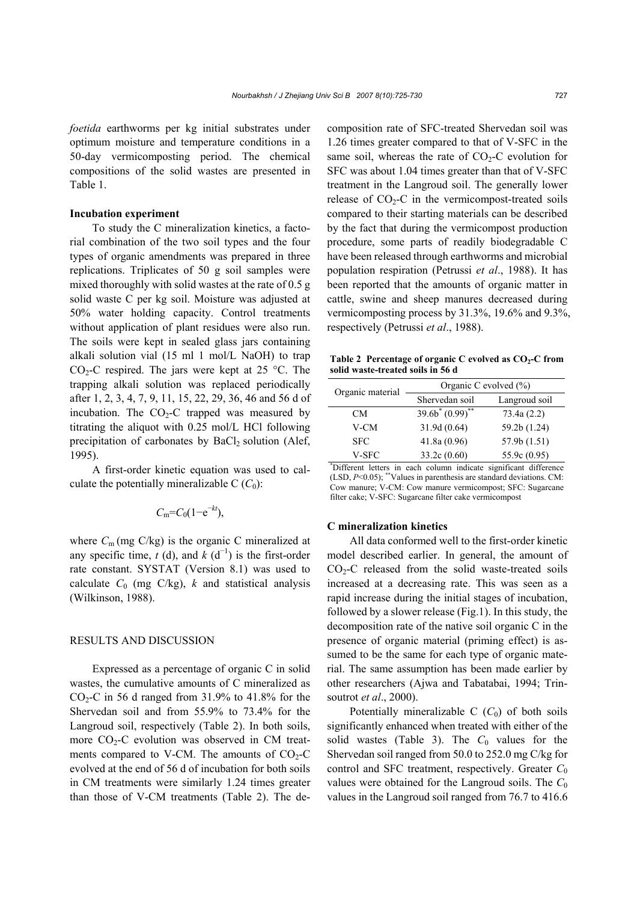*foetida* earthworms per kg initial substrates under optimum moisture and temperature conditions in a 50-day vermicomposting period. The chemical compositions of the solid wastes are presented in Table 1.

#### **Incubation experiment**

To study the C mineralization kinetics, a factorial combination of the two soil types and the four types of organic amendments was prepared in three replications. Triplicates of 50 g soil samples were mixed thoroughly with solid wastes at the rate of 0.5 g solid waste C per kg soil. Moisture was adjusted at 50% water holding capacity. Control treatments without application of plant residues were also run. The soils were kept in sealed glass jars containing alkali solution vial (15 ml 1 mol/L NaOH) to trap  $CO<sub>2</sub>-C$  respired. The jars were kept at 25 °C. The trapping alkali solution was replaced periodically after 1, 2, 3, 4, 7, 9, 11, 15, 22, 29, 36, 46 and 56 d of incubation. The  $CO<sub>2</sub>-C$  trapped was measured by titrating the aliquot with 0.25 mol/L HCl following precipitation of carbonates by  $BaCl<sub>2</sub>$  solution (Alef, 1995).

A first-order kinetic equation was used to calculate the potentially mineralizable  $C(C_0)$ :

$$
C_{\rm m} = C_0 (1 - e^{-kt}),
$$

where  $C_m$  (mg  $C/kg$ ) is the organic C mineralized at any specific time,  $t$  (d), and  $k$  (d<sup>-1</sup>) is the first-order rate constant. SYSTAT (Version 8.1) was used to calculate  $C_0$  (mg C/kg),  $k$  and statistical analysis (Wilkinson, 1988).

# RESULTS AND DISCUSSION

Expressed as a percentage of organic C in solid wastes, the cumulative amounts of C mineralized as  $CO<sub>2</sub>-C$  in 56 d ranged from 31.9% to 41.8% for the Shervedan soil and from 55.9% to 73.4% for the Langroud soil, respectively (Table 2). In both soils, more  $CO<sub>2</sub>-C$  evolution was observed in CM treatments compared to V-CM. The amounts of  $CO<sub>2</sub>-C$ evolved at the end of 56 d of incubation for both soils in CM treatments were similarly 1.24 times greater than those of V-CM treatments (Table 2). The decomposition rate of SFC-treated Shervedan soil was 1.26 times greater compared to that of V-SFC in the same soil, whereas the rate of  $CO<sub>2</sub>-C$  evolution for SFC was about 1.04 times greater than that of V-SFC treatment in the Langroud soil. The generally lower release of  $CO<sub>2</sub>-C$  in the vermicompost-treated soils compared to their starting materials can be described by the fact that during the vermicompost production procedure, some parts of readily biodegradable C have been released through earthworms and microbial population respiration (Petrussi *et al*., 1988). It has been reported that the amounts of organic matter in cattle, swine and sheep manures decreased during vermicomposting process by 31.3%, 19.6% and 9.3%, respectively (Petrussi *et al*., 1988).

Table 2 Percentage of organic C evolved as  $CO<sub>2</sub>-C$  from **solid waste-treated soils in 56 d**

| Organic material | Organic C evolved $(\%)$                                          |               |  |  |  |  |  |
|------------------|-------------------------------------------------------------------|---------------|--|--|--|--|--|
|                  | Shervedan soil                                                    | Langroud soil |  |  |  |  |  |
| <b>CM</b>        | $39.6b^*(0.99)$ **                                                | 73.4a(2.2)    |  |  |  |  |  |
| V-CM             | 31.9d (0.64)                                                      | 59.2b (1.24)  |  |  |  |  |  |
| <b>SFC</b>       | 41.8a(0.96)                                                       | 57.9b (1.51)  |  |  |  |  |  |
| V-SFC            | 33.2c(0.60)                                                       | 55.9c (0.95)  |  |  |  |  |  |
|                  | *Different letters in each column indicate significant difference |               |  |  |  |  |  |

(LSD, *P*<0.05); \*\*Values in parenthesis are standard deviations. CM: Cow manure; V-CM: Cow manure vermicompost; SFC: Sugarcane filter cake; V-SFC: Sugarcane filter cake vermicompost

#### **C mineralization kinetics**

All data conformed well to the first-order kinetic model described earlier. In general, the amount of  $CO<sub>2</sub>-C$  released from the solid waste-treated soils increased at a decreasing rate. This was seen as a rapid increase during the initial stages of incubation, followed by a slower release (Fig.1). In this study, the decomposition rate of the native soil organic C in the presence of organic material (priming effect) is assumed to be the same for each type of organic material. The same assumption has been made earlier by other researchers (Ajwa and Tabatabai, 1994; Trinsoutrot *et al*., 2000).

Potentially mineralizable  $C$  ( $C_0$ ) of both soils significantly enhanced when treated with either of the solid wastes (Table 3). The  $C_0$  values for the Shervedan soil ranged from 50.0 to 252.0 mg C/kg for control and SFC treatment, respectively. Greater C<sub>0</sub> values were obtained for the Langroud soils. The  $C_0$ values in the Langroud soil ranged from 76.7 to 416.6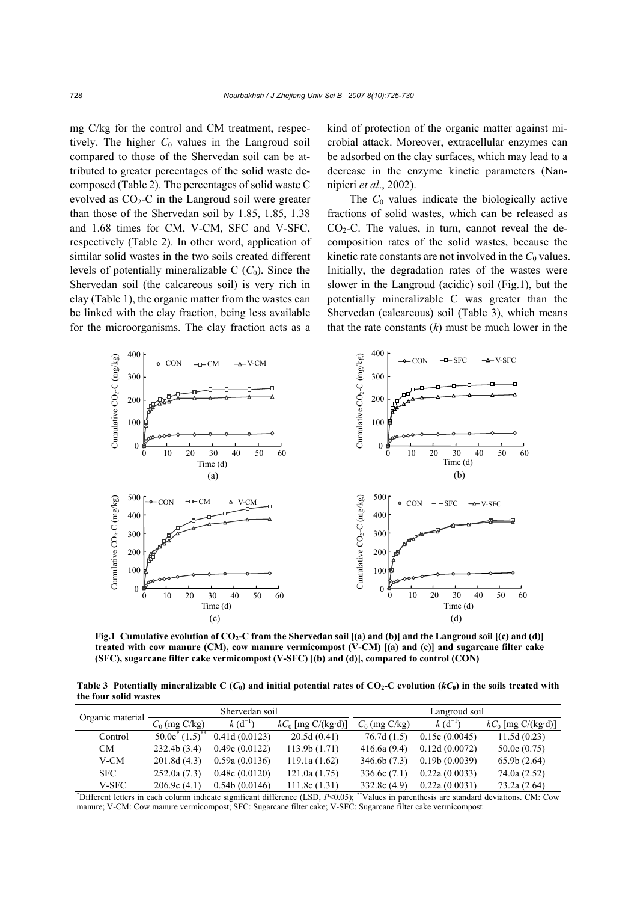mg C/kg for the control and CM treatment, respectively. The higher  $C_0$  values in the Langroud soil compared to those of the Shervedan soil can be attributed to greater percentages of the solid waste decomposed (Table 2). The percentages of solid waste C evolved as  $CO<sub>2</sub>-C$  in the Langroud soil were greater than those of the Shervedan soil by 1.85, 1.85, 1.38 and 1.68 times for CM, V-CM, SFC and V-SFC, respectively (Table 2). In other word, application of similar solid wastes in the two soils created different levels of potentially mineralizable  $C$  ( $C_0$ ). Since the Shervedan soil (the calcareous soil) is very rich in clay (Table 1), the organic matter from the wastes can be linked with the clay fraction, being less available for the microorganisms. The clay fraction acts as a

kind of protection of the organic matter against microbial attack. Moreover, extracellular enzymes can be adsorbed on the clay surfaces, which may lead to a decrease in the enzyme kinetic parameters (Nannipieri *et al*., 2002).

The  $C_0$  values indicate the biologically active fractions of solid wastes, which can be released as  $CO<sub>2</sub>-C$ . The values, in turn, cannot reveal the decomposition rates of the solid wastes, because the kinetic rate constants are not involved in the  $C_0$  values. Initially, the degradation rates of the wastes were slower in the Langroud (acidic) soil (Fig.1), but the potentially mineralizable C was greater than the Shervedan (calcareous) soil (Table 3), which means that the rate constants (*k*) must be much lower in the



**Fig.1 Cumulative evolution of CO2-C from the Shervedan soil [(a) and (b)] and the Langroud soil [(c) and (d)] treated with cow manure (CM), cow manure vermicompost (V-CM) [(a) and (c)] and sugarcane filter cake (SFC), sugarcane filter cake vermicompost (V-SFC) [(b) and (d)], compared to control (CON)**

**Table 3 Potentially mineralizable C** ( $C_0$ ) and initial potential rates of CO<sub>2</sub>-C evolution ( $kC_0$ ) in the soils treated with **the four solid wastes**

| Organic material                                                                                                                                          |                                | Shervedan soil |                      | Langroud soil   |               |                      |  |
|-----------------------------------------------------------------------------------------------------------------------------------------------------------|--------------------------------|----------------|----------------------|-----------------|---------------|----------------------|--|
|                                                                                                                                                           | $C_0$ (mg C/kg)                | $k(d^{-1})$    | $kC_0$ [mg C/(kg·d)] | $C_0$ (mg C/kg) | $k(d^{-1})$   | $kC_0$ [mg C/(kg·d)] |  |
| Control                                                                                                                                                   | $50.0e^{*}(1.5)$ <sup>**</sup> | 0.41d(0.0123)  | 20.5d(0.41)          | 76.7d(1.5)      | 0.15c(0.0045) | 11.5d(0.23)          |  |
| CM.                                                                                                                                                       | 232.4b(3.4)                    | 0.49c(0.0122)  | 113.9b(1.71)         | 416.6a(9.4)     | 0.12d(0.0072) | 50.0c(0.75)          |  |
| V-CM                                                                                                                                                      | 201.8d(4.3)                    | 0.59a(0.0136)  | 119.1a(1.62)         | 346.6b(7.3)     | 0.19b(0.0039) | 65.9b(2.64)          |  |
| <b>SFC</b>                                                                                                                                                | 252.0a(7.3)                    | 0.48c(0.0120)  | 121.0a(1.75)         | 336.6c(7.1)     | 0.22a(0.0033) | 74.0a(2.52)          |  |
| <b>V-SFC</b>                                                                                                                                              | 206.9c(4.1)                    | 0.54b(0.0146)  | 111.8c(1.31)         | 332.8c(4.9)     | 0.22a(0.0031) | 73.2a(2.64)          |  |
| "Values in parenthesis are standard deviations. CM: Cow<br>$\check{D}$ Different letters in each column indicate significant difference (LSD, $P<0.05$ ); |                                |                |                      |                 |               |                      |  |

manure; V-CM: Cow manure vermicompost; SFC: Sugarcane filter cake; V-SFC: Sugarcane filter cake vermicompost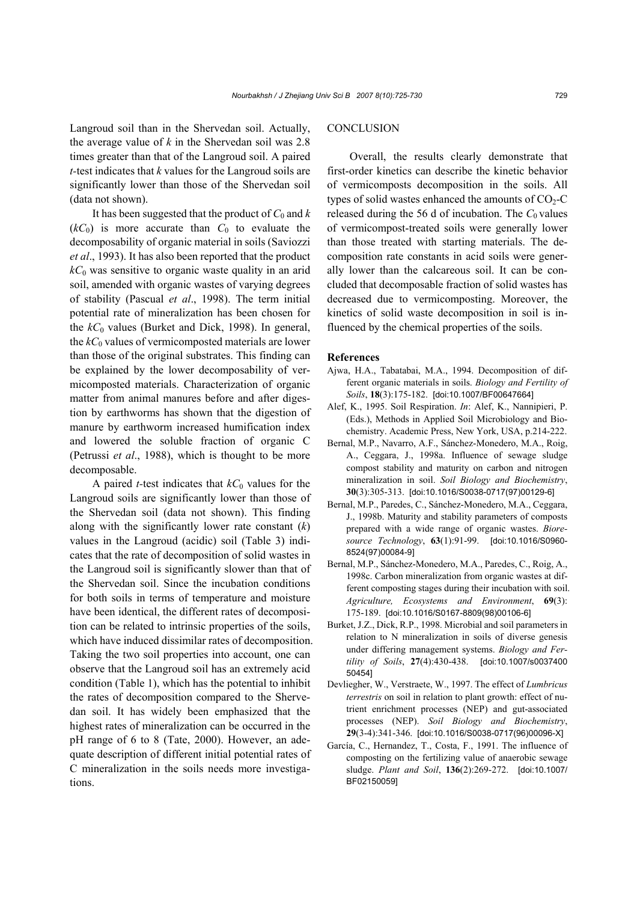Langroud soil than in the Shervedan soil. Actually, the average value of  $k$  in the Shervedan soil was 2.8 times greater than that of the Langroud soil. A paired *t-*test indicates that *k* values for the Langroud soils are significantly lower than those of the Shervedan soil (data not shown).

It has been suggested that the product of  $C_0$  and  $k$  $(kC_0)$  is more accurate than  $C_0$  to evaluate the decomposability of organic material in soils (Saviozzi *et al*., 1993). It has also been reported that the product  $k_0$  was sensitive to organic waste quality in an arid soil, amended with organic wastes of varying degrees of stability (Pascual *et al*., 1998). The term initial potential rate of mineralization has been chosen for the  $k_0$  values (Burket and Dick, 1998). In general, the  $k_0$  values of vermicomposted materials are lower than those of the original substrates. This finding can be explained by the lower decomposability of vermicomposted materials. Characterization of organic matter from animal manures before and after digestion by earthworms has shown that the digestion of manure by earthworm increased humification index and lowered the soluble fraction of organic C (Petrussi *et al*., 1988), which is thought to be more decomposable.

A paired *t*-test indicates that  $kC_0$  values for the Langroud soils are significantly lower than those of the Shervedan soil (data not shown). This finding along with the significantly lower rate constant (*k*) values in the Langroud (acidic) soil (Table 3) indicates that the rate of decomposition of solid wastes in the Langroud soil is significantly slower than that of the Shervedan soil. Since the incubation conditions for both soils in terms of temperature and moisture have been identical, the different rates of decomposition can be related to intrinsic properties of the soils, which have induced dissimilar rates of decomposition. Taking the two soil properties into account, one can observe that the Langroud soil has an extremely acid condition (Table 1), which has the potential to inhibit the rates of decomposition compared to the Shervedan soil. It has widely been emphasized that the highest rates of mineralization can be occurred in the pH range of 6 to 8 (Tate, 2000). However, an adequate description of different initial potential rates of C mineralization in the soils needs more investigations.

# **CONCLUSION**

Overall, the results clearly demonstrate that first-order kinetics can describe the kinetic behavior of vermicomposts decomposition in the soils. All types of solid wastes enhanced the amounts of  $CO<sub>2</sub>-C$ released during the 56 d of incubation. The  $C_0$  values of vermicompost-treated soils were generally lower than those treated with starting materials. The decomposition rate constants in acid soils were generally lower than the calcareous soil. It can be concluded that decomposable fraction of solid wastes has decreased due to vermicomposting. Moreover, the kinetics of solid waste decomposition in soil is influenced by the chemical properties of the soils.

#### **References**

- Ajwa, H.A., Tabatabai, M.A., 1994. Decomposition of different organic materials in soils. *Biology and Fertility of Soils*, **18**(3):175-182. [doi:10.1007/BF00647664]
- Alef, K., 1995. Soil Respiration. *In*: Alef, K., Nannipieri, P. (Eds.), Methods in Applied Soil Microbiology and Biochemistry. Academic Press, New York, USA, p.214-222.
- Bernal, M.P., Navarro, A.F., Sánchez-Monedero, M.A., Roig, A., Ceggara, J., 1998a. Influence of sewage sludge compost stability and maturity on carbon and nitrogen mineralization in soil. *Soil Biology and Biochemistry*, **30**(3):305-313. [doi:10.1016/S0038-0717(97)00129-6]
- Bernal, M.P., Paredes, C., Sánchez-Monedero, M.A., Ceggara, J., 1998b. Maturity and stability parameters of composts prepared with a wide range of organic wastes. *Bioresource Technology*, **63**(1):91-99. [doi:10.1016/S0960- 8524(97)00084-9]
- Bernal, M.P., Sánchez-Monedero, M.A., Paredes, C., Roig, A., 1998c. Carbon mineralization from organic wastes at different composting stages during their incubation with soil. *Agriculture, Ecosystems and Environment*, **69**(3): 175-189. [doi:10.1016/S0167-8809(98)00106-6]
- Burket, J.Z., Dick, R.P., 1998. Microbial and soil parameters in relation to N mineralization in soils of diverse genesis under differing management systems. *Biology and Fertility of Soils*, **27**(4):430-438. [doi:10.1007/s0037400 50454]
- Devliegher, W., Verstraete, W., 1997. The effect of *Lumbricus terrestris* on soil in relation to plant growth: effect of nutrient enrichment processes (NEP) and gut-associated processes (NEP). *Soil Biology and Biochemistry*, **29**(3-4):341-346. [doi:10.1016/S0038-0717(96)00096-X]
- García, C., Hernandez, T., Costa, F., 1991. The influence of composting on the fertilizing value of anaerobic sewage sludge. *Plant and Soil*, **136**(2):269-272. [doi:10.1007/ BF02150059]